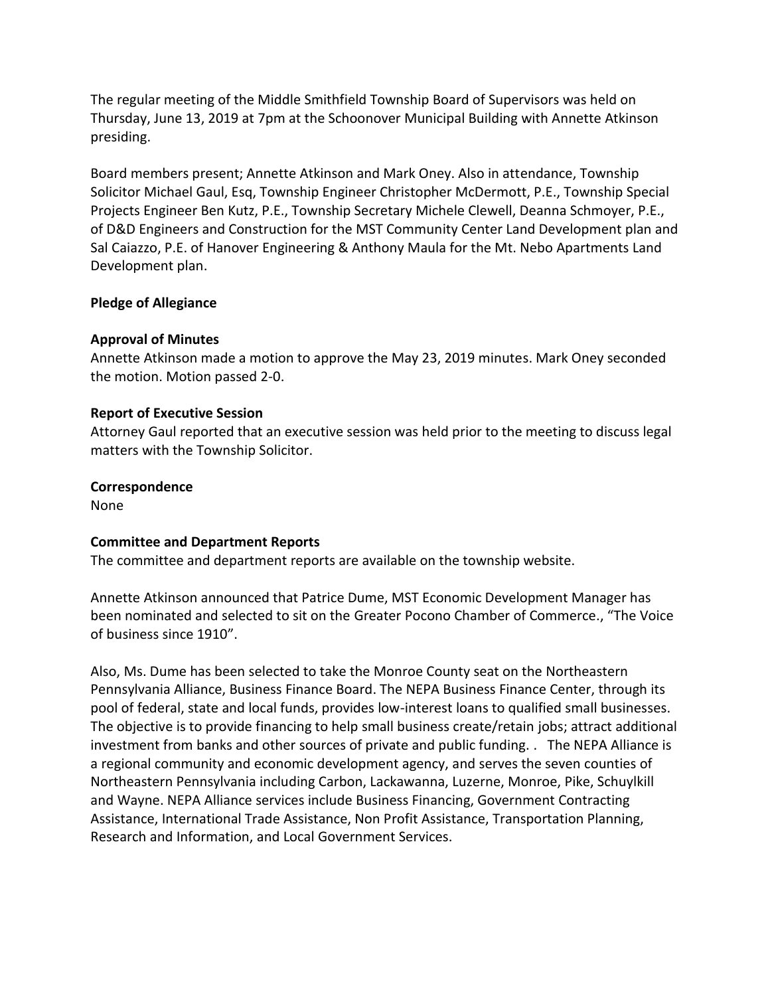The regular meeting of the Middle Smithfield Township Board of Supervisors was held on Thursday, June 13, 2019 at 7pm at the Schoonover Municipal Building with Annette Atkinson presiding.

Board members present; Annette Atkinson and Mark Oney. Also in attendance, Township Solicitor Michael Gaul, Esq, Township Engineer Christopher McDermott, P.E., Township Special Projects Engineer Ben Kutz, P.E., Township Secretary Michele Clewell, Deanna Schmoyer, P.E., of D&D Engineers and Construction for the MST Community Center Land Development plan and Sal Caiazzo, P.E. of Hanover Engineering & Anthony Maula for the Mt. Nebo Apartments Land Development plan.

#### **Pledge of Allegiance**

#### **Approval of Minutes**

Annette Atkinson made a motion to approve the May 23, 2019 minutes. Mark Oney seconded the motion. Motion passed 2-0.

#### **Report of Executive Session**

Attorney Gaul reported that an executive session was held prior to the meeting to discuss legal matters with the Township Solicitor.

#### **Correspondence**

None

#### **Committee and Department Reports**

The committee and department reports are available on the township website.

Annette Atkinson announced that Patrice Dume, MST Economic Development Manager has been nominated and selected to sit on the Greater Pocono Chamber of Commerce., "The Voice of business since 1910".

Also, Ms. Dume has been selected to take the Monroe County seat on the Northeastern Pennsylvania Alliance, Business Finance Board. The NEPA Business Finance Center, through its pool of federal, state and local funds, provides low-interest loans to qualified small businesses. The objective is to provide financing to help small business create/retain jobs; attract additional investment from banks and other sources of private and public funding. . The NEPA Alliance is a regional community and economic development agency, and serves the seven counties of Northeastern Pennsylvania including Carbon, Lackawanna, Luzerne, Monroe, Pike, Schuylkill and Wayne. NEPA Alliance services include Business Financing, Government Contracting Assistance, International Trade Assistance, Non Profit Assistance, Transportation Planning, Research and Information, and Local Government Services.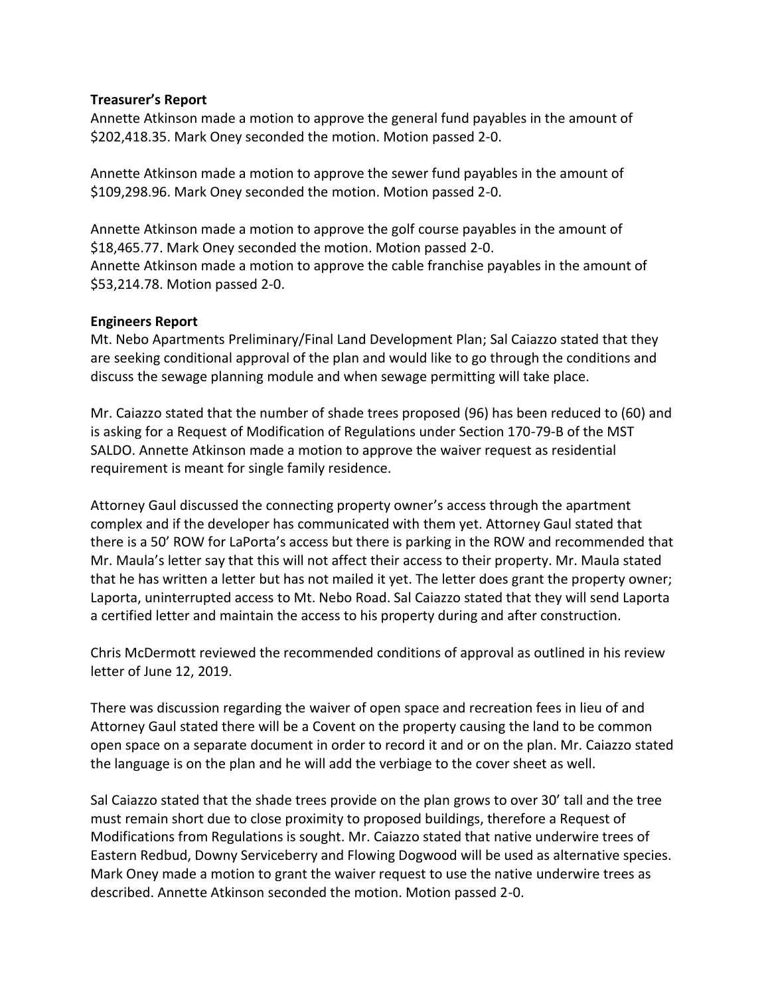#### **Treasurer's Report**

Annette Atkinson made a motion to approve the general fund payables in the amount of \$202,418.35. Mark Oney seconded the motion. Motion passed 2-0.

Annette Atkinson made a motion to approve the sewer fund payables in the amount of \$109,298.96. Mark Oney seconded the motion. Motion passed 2-0.

Annette Atkinson made a motion to approve the golf course payables in the amount of \$18,465.77. Mark Oney seconded the motion. Motion passed 2-0. Annette Atkinson made a motion to approve the cable franchise payables in the amount of \$53,214.78. Motion passed 2-0.

#### **Engineers Report**

Mt. Nebo Apartments Preliminary/Final Land Development Plan; Sal Caiazzo stated that they are seeking conditional approval of the plan and would like to go through the conditions and discuss the sewage planning module and when sewage permitting will take place.

Mr. Caiazzo stated that the number of shade trees proposed (96) has been reduced to (60) and is asking for a Request of Modification of Regulations under Section 170-79-B of the MST SALDO. Annette Atkinson made a motion to approve the waiver request as residential requirement is meant for single family residence.

Attorney Gaul discussed the connecting property owner's access through the apartment complex and if the developer has communicated with them yet. Attorney Gaul stated that there is a 50' ROW for LaPorta's access but there is parking in the ROW and recommended that Mr. Maula's letter say that this will not affect their access to their property. Mr. Maula stated that he has written a letter but has not mailed it yet. The letter does grant the property owner; Laporta, uninterrupted access to Mt. Nebo Road. Sal Caiazzo stated that they will send Laporta a certified letter and maintain the access to his property during and after construction.

Chris McDermott reviewed the recommended conditions of approval as outlined in his review letter of June 12, 2019.

There was discussion regarding the waiver of open space and recreation fees in lieu of and Attorney Gaul stated there will be a Covent on the property causing the land to be common open space on a separate document in order to record it and or on the plan. Mr. Caiazzo stated the language is on the plan and he will add the verbiage to the cover sheet as well.

Sal Caiazzo stated that the shade trees provide on the plan grows to over 30' tall and the tree must remain short due to close proximity to proposed buildings, therefore a Request of Modifications from Regulations is sought. Mr. Caiazzo stated that native underwire trees of Eastern Redbud, Downy Serviceberry and Flowing Dogwood will be used as alternative species. Mark Oney made a motion to grant the waiver request to use the native underwire trees as described. Annette Atkinson seconded the motion. Motion passed 2-0.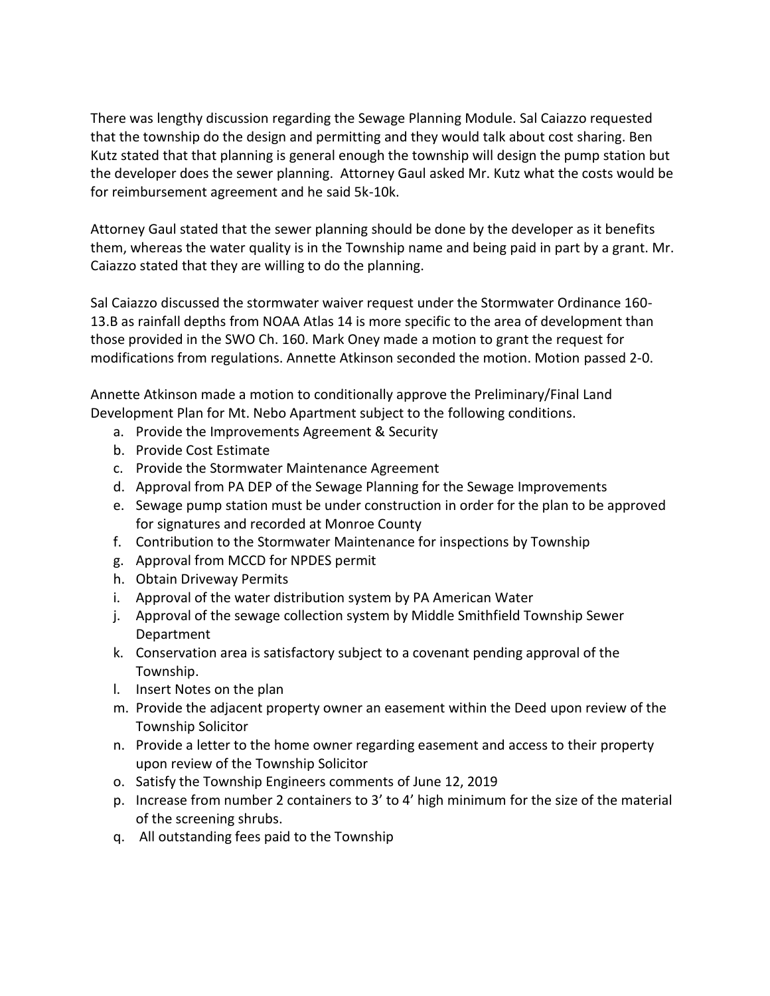There was lengthy discussion regarding the Sewage Planning Module. Sal Caiazzo requested that the township do the design and permitting and they would talk about cost sharing. Ben Kutz stated that that planning is general enough the township will design the pump station but the developer does the sewer planning. Attorney Gaul asked Mr. Kutz what the costs would be for reimbursement agreement and he said 5k-10k.

Attorney Gaul stated that the sewer planning should be done by the developer as it benefits them, whereas the water quality is in the Township name and being paid in part by a grant. Mr. Caiazzo stated that they are willing to do the planning.

Sal Caiazzo discussed the stormwater waiver request under the Stormwater Ordinance 160- 13.B as rainfall depths from NOAA Atlas 14 is more specific to the area of development than those provided in the SWO Ch. 160. Mark Oney made a motion to grant the request for modifications from regulations. Annette Atkinson seconded the motion. Motion passed 2-0.

Annette Atkinson made a motion to conditionally approve the Preliminary/Final Land Development Plan for Mt. Nebo Apartment subject to the following conditions.

- a. Provide the Improvements Agreement & Security
- b. Provide Cost Estimate
- c. Provide the Stormwater Maintenance Agreement
- d. Approval from PA DEP of the Sewage Planning for the Sewage Improvements
- e. Sewage pump station must be under construction in order for the plan to be approved for signatures and recorded at Monroe County
- f. Contribution to the Stormwater Maintenance for inspections by Township
- g. Approval from MCCD for NPDES permit
- h. Obtain Driveway Permits
- i. Approval of the water distribution system by PA American Water
- j. Approval of the sewage collection system by Middle Smithfield Township Sewer Department
- k. Conservation area is satisfactory subject to a covenant pending approval of the Township.
- l. Insert Notes on the plan
- m. Provide the adjacent property owner an easement within the Deed upon review of the Township Solicitor
- n. Provide a letter to the home owner regarding easement and access to their property upon review of the Township Solicitor
- o. Satisfy the Township Engineers comments of June 12, 2019
- p. Increase from number 2 containers to 3' to 4' high minimum for the size of the material of the screening shrubs.
- q. All outstanding fees paid to the Township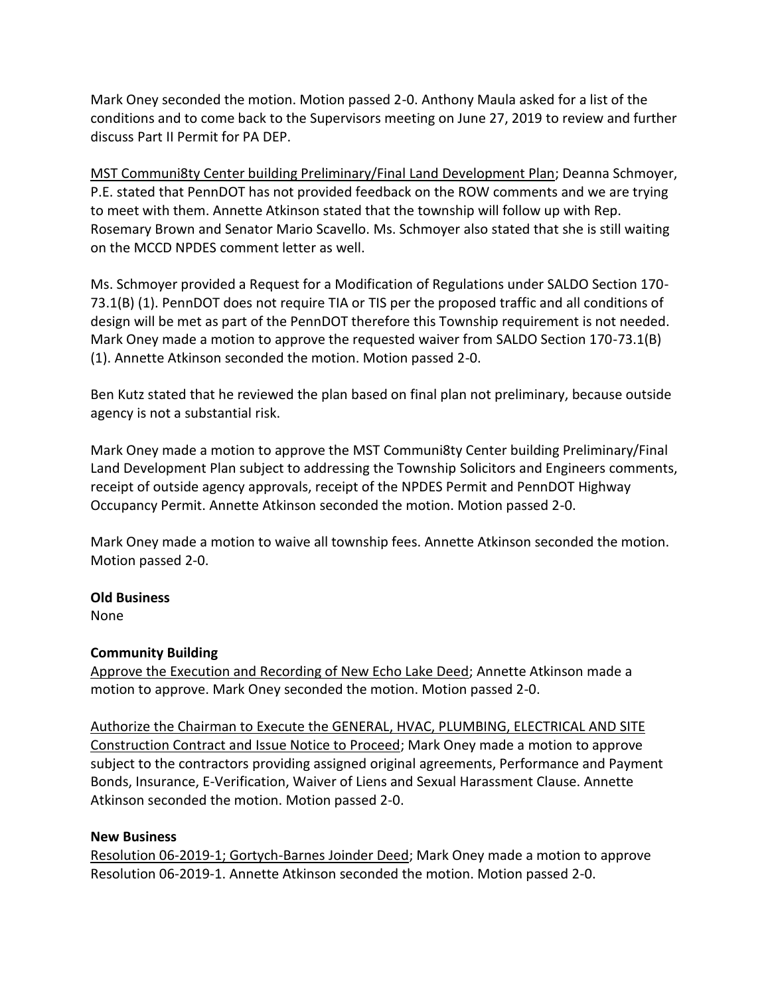Mark Oney seconded the motion. Motion passed 2-0. Anthony Maula asked for a list of the conditions and to come back to the Supervisors meeting on June 27, 2019 to review and further discuss Part II Permit for PA DEP.

MST Communi8ty Center building Preliminary/Final Land Development Plan; Deanna Schmoyer, P.E. stated that PennDOT has not provided feedback on the ROW comments and we are trying to meet with them. Annette Atkinson stated that the township will follow up with Rep. Rosemary Brown and Senator Mario Scavello. Ms. Schmoyer also stated that she is still waiting on the MCCD NPDES comment letter as well.

Ms. Schmoyer provided a Request for a Modification of Regulations under SALDO Section 170- 73.1(B) (1). PennDOT does not require TIA or TIS per the proposed traffic and all conditions of design will be met as part of the PennDOT therefore this Township requirement is not needed. Mark Oney made a motion to approve the requested waiver from SALDO Section 170-73.1(B) (1). Annette Atkinson seconded the motion. Motion passed 2-0.

Ben Kutz stated that he reviewed the plan based on final plan not preliminary, because outside agency is not a substantial risk.

Mark Oney made a motion to approve the MST Communi8ty Center building Preliminary/Final Land Development Plan subject to addressing the Township Solicitors and Engineers comments, receipt of outside agency approvals, receipt of the NPDES Permit and PennDOT Highway Occupancy Permit. Annette Atkinson seconded the motion. Motion passed 2-0.

Mark Oney made a motion to waive all township fees. Annette Atkinson seconded the motion. Motion passed 2-0.

# **Old Business**

None

# **Community Building**

Approve the Execution and Recording of New Echo Lake Deed; Annette Atkinson made a motion to approve. Mark Oney seconded the motion. Motion passed 2-0.

Authorize the Chairman to Execute the GENERAL, HVAC, PLUMBING, ELECTRICAL AND SITE Construction Contract and Issue Notice to Proceed; Mark Oney made a motion to approve subject to the contractors providing assigned original agreements, Performance and Payment Bonds, Insurance, E-Verification, Waiver of Liens and Sexual Harassment Clause. Annette Atkinson seconded the motion. Motion passed 2-0.

# **New Business**

Resolution 06-2019-1; Gortych-Barnes Joinder Deed; Mark Oney made a motion to approve Resolution 06-2019-1. Annette Atkinson seconded the motion. Motion passed 2-0.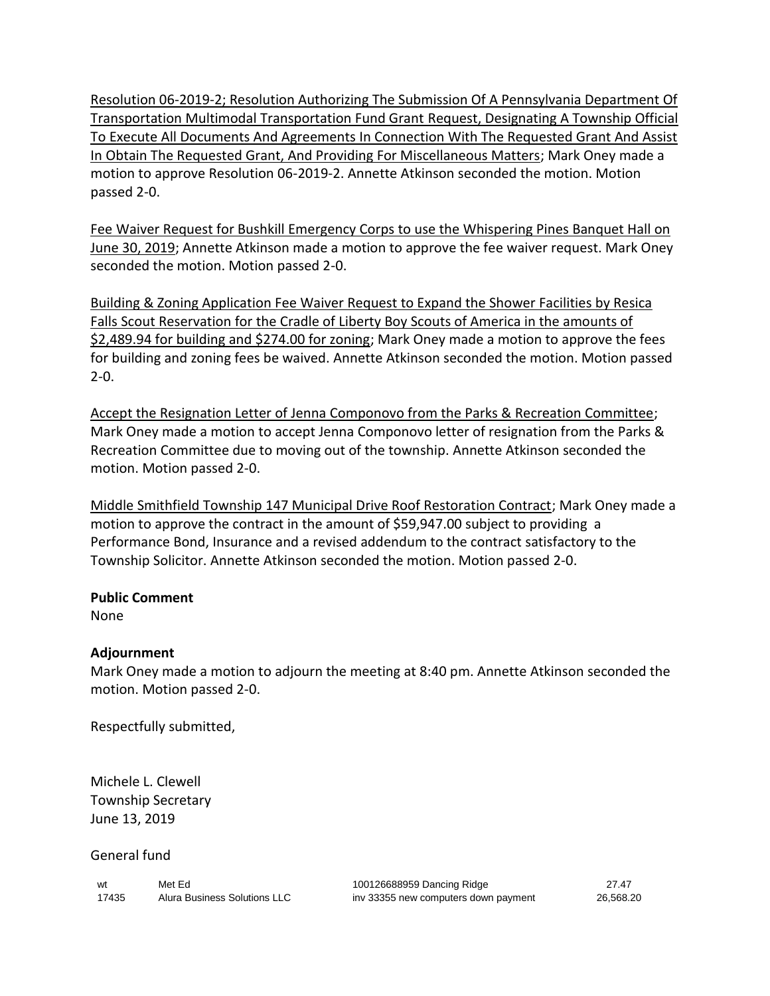Resolution 06-2019-2; Resolution Authorizing The Submission Of A Pennsylvania Department Of Transportation Multimodal Transportation Fund Grant Request, Designating A Township Official To Execute All Documents And Agreements In Connection With The Requested Grant And Assist In Obtain The Requested Grant, And Providing For Miscellaneous Matters; Mark Oney made a motion to approve Resolution 06-2019-2. Annette Atkinson seconded the motion. Motion passed 2-0.

Fee Waiver Request for Bushkill Emergency Corps to use the Whispering Pines Banquet Hall on June 30, 2019; Annette Atkinson made a motion to approve the fee waiver request. Mark Oney seconded the motion. Motion passed 2-0.

Building & Zoning Application Fee Waiver Request to Expand the Shower Facilities by Resica Falls Scout Reservation for the Cradle of Liberty Boy Scouts of America in the amounts of \$2,489.94 for building and \$274.00 for zoning; Mark Oney made a motion to approve the fees for building and zoning fees be waived. Annette Atkinson seconded the motion. Motion passed 2-0.

Accept the Resignation Letter of Jenna Componovo from the Parks & Recreation Committee; Mark Oney made a motion to accept Jenna Componovo letter of resignation from the Parks & Recreation Committee due to moving out of the township. Annette Atkinson seconded the motion. Motion passed 2-0.

Middle Smithfield Township 147 Municipal Drive Roof Restoration Contract; Mark Oney made a motion to approve the contract in the amount of \$59,947.00 subject to providing a Performance Bond, Insurance and a revised addendum to the contract satisfactory to the Township Solicitor. Annette Atkinson seconded the motion. Motion passed 2-0.

# **Public Comment**

None

# **Adjournment**

Mark Oney made a motion to adjourn the meeting at 8:40 pm. Annette Atkinson seconded the motion. Motion passed 2-0.

Respectfully submitted,

Michele L. Clewell Township Secretary June 13, 2019

General fund

| wt    | Met Ed                       |
|-------|------------------------------|
| 17435 | Alura Business Solutions LLC |

100126688959 Dancing Ridge 27.47 inv 33355 new computers down payment 26,568.20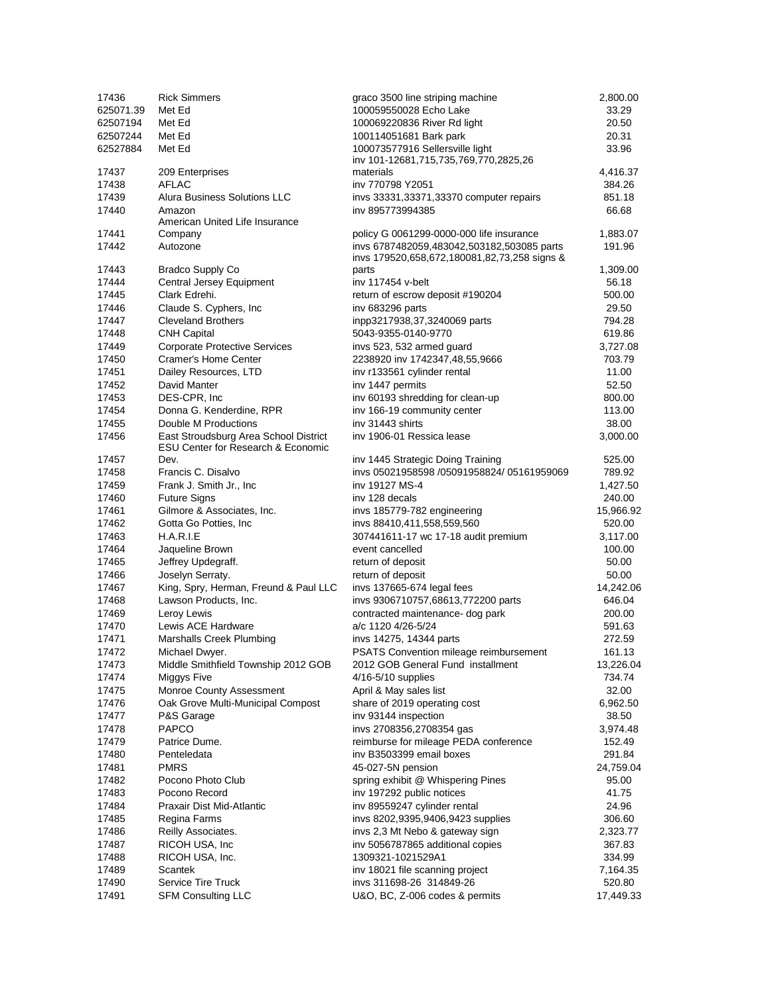| 17436     | <b>Rick Simmers</b>                           | graco 3500 line striping machine             | 2,800.00  |
|-----------|-----------------------------------------------|----------------------------------------------|-----------|
| 625071.39 | Met Ed                                        | 100059550028 Echo Lake                       | 33.29     |
| 62507194  | Met Ed                                        | 100069220836 River Rd light                  | 20.50     |
| 62507244  | Met Ed                                        | 100114051681 Bark park                       | 20.31     |
| 62527884  | Met Ed                                        | 100073577916 Sellersville light              | 33.96     |
|           |                                               | inv 101-12681,715,735,769,770,2825,26        |           |
| 17437     | 209 Enterprises                               | materials                                    | 4,416.37  |
| 17438     | <b>AFLAC</b>                                  | inv 770798 Y2051                             | 384.26    |
| 17439     | Alura Business Solutions LLC                  | invs 33331,33371,33370 computer repairs      | 851.18    |
| 17440     | Amazon                                        | inv 895773994385                             | 66.68     |
|           | American United Life Insurance                |                                              |           |
| 17441     | Company                                       | policy G 0061299-0000-000 life insurance     | 1,883.07  |
| 17442     | Autozone                                      | invs 6787482059,483042,503182,503085 parts   | 191.96    |
|           |                                               | invs 179520,658,672,180081,82,73,258 signs & |           |
| 17443     | <b>Bradco Supply Co</b>                       | parts                                        | 1,309.00  |
| 17444     | Central Jersey Equipment                      | inv 117454 v-belt                            | 56.18     |
| 17445     | Clark Edrehi.                                 | return of escrow deposit #190204             | 500.00    |
|           |                                               |                                              |           |
| 17446     | Claude S. Cyphers, Inc.                       | inv 683296 parts                             | 29.50     |
| 17447     | <b>Cleveland Brothers</b>                     | inpp3217938,37,3240069 parts                 | 794.28    |
| 17448     | <b>CNH Capital</b>                            | 5043-9355-0140-9770                          | 619.86    |
| 17449     | <b>Corporate Protective Services</b>          | invs 523, 532 armed guard                    | 3,727.08  |
| 17450     | Cramer's Home Center                          | 2238920 inv 1742347,48,55,9666               | 703.79    |
| 17451     | Dailey Resources, LTD                         | inv r133561 cylinder rental                  | 11.00     |
| 17452     | David Manter                                  | inv 1447 permits                             | 52.50     |
| 17453     | DES-CPR, Inc                                  | inv 60193 shredding for clean-up             | 800.00    |
| 17454     | Donna G. Kenderdine, RPR                      | inv 166-19 community center                  | 113.00    |
| 17455     | Double M Productions                          | inv 31443 shirts                             | 38.00     |
| 17456     | East Stroudsburg Area School District         | inv 1906-01 Ressica lease                    | 3,000.00  |
|           | <b>ESU Center for Research &amp; Economic</b> |                                              |           |
| 17457     | Dev.                                          | inv 1445 Strategic Doing Training            | 525.00    |
| 17458     | Francis C. Disalvo                            | invs 05021958598 /05091958824/ 05161959069   | 789.92    |
| 17459     | Frank J. Smith Jr., Inc.                      | iny 19127 MS-4                               | 1,427.50  |
| 17460     | <b>Future Signs</b>                           | inv 128 decals                               | 240.00    |
|           |                                               |                                              |           |
| 17461     | Gilmore & Associates, Inc.                    | invs 185779-782 engineering                  | 15,966.92 |
| 17462     | Gotta Go Potties, Inc.                        | invs 88410,411,558,559,560                   | 520.00    |
| 17463     | H.A.R.I.E                                     | 307441611-17 wc 17-18 audit premium          | 3,117.00  |
| 17464     | Jaqueline Brown                               | event cancelled                              | 100.00    |
| 17465     | Jeffrey Updegraff.                            | return of deposit                            | 50.00     |
| 17466     | Joselyn Serraty.                              | return of deposit                            | 50.00     |
| 17467     | King, Spry, Herman, Freund & Paul LLC         | invs 137665-674 legal fees                   | 14,242.06 |
| 17468     | Lawson Products, Inc.                         | invs 9306710757,68613,772200 parts           | 646.04    |
| 17469     | Leroy Lewis                                   | contracted maintenance- dog park             | 200.00    |
| 17470     | Lewis ACE Hardware                            | a/c 1120 4/26-5/24                           | 591.63    |
| 17471     | Marshalls Creek Plumbing                      | invs 14275, 14344 parts                      | 272.59    |
| 17472     | Michael Dwyer.                                | PSATS Convention mileage reimbursement       | 161.13    |
| 17473     | Middle Smithfield Township 2012 GOB           | 2012 GOB General Fund installment            | 13,226.04 |
| 17474     | Miggys Five                                   | 4/16-5/10 supplies                           | 734.74    |
|           |                                               |                                              |           |
| 17475     | Monroe County Assessment                      | April & May sales list                       | 32.00     |
| 17476     | Oak Grove Multi-Municipal Compost             | share of 2019 operating cost                 | 6,962.50  |
| 17477     | P&S Garage                                    | inv 93144 inspection                         | 38.50     |
| 17478     | <b>PAPCO</b>                                  | invs 2708356,2708354 gas                     | 3,974.48  |
| 17479     | Patrice Dume.                                 | reimburse for mileage PEDA conference        | 152.49    |
| 17480     | Penteledata                                   | inv B3503399 email boxes                     | 291.84    |
| 17481     | <b>PMRS</b>                                   | 45-027-5N pension                            | 24,759.04 |
| 17482     | Pocono Photo Club                             | spring exhibit @ Whispering Pines            | 95.00     |
| 17483     | Pocono Record                                 | inv 197292 public notices                    | 41.75     |
| 17484     | Praxair Dist Mid-Atlantic                     | inv 89559247 cylinder rental                 | 24.96     |
| 17485     | Regina Farms                                  | invs 8202,9395,9406,9423 supplies            | 306.60    |
| 17486     | Reilly Associates.                            | invs 2,3 Mt Nebo & gateway sign              | 2,323.77  |
| 17487     | RICOH USA, Inc.                               | inv 5056787865 additional copies             | 367.83    |
|           |                                               |                                              |           |
| 17488     | RICOH USA, Inc.                               | 1309321-1021529A1                            | 334.99    |
| 17489     | Scantek                                       | inv 18021 file scanning project              | 7,164.35  |
| 17490     | Service Tire Truck                            | invs 311698-26 314849-26                     | 520.80    |
| 17491     | <b>SFM Consulting LLC</b>                     | U&O, BC, Z-006 codes & permits               | 17,449.33 |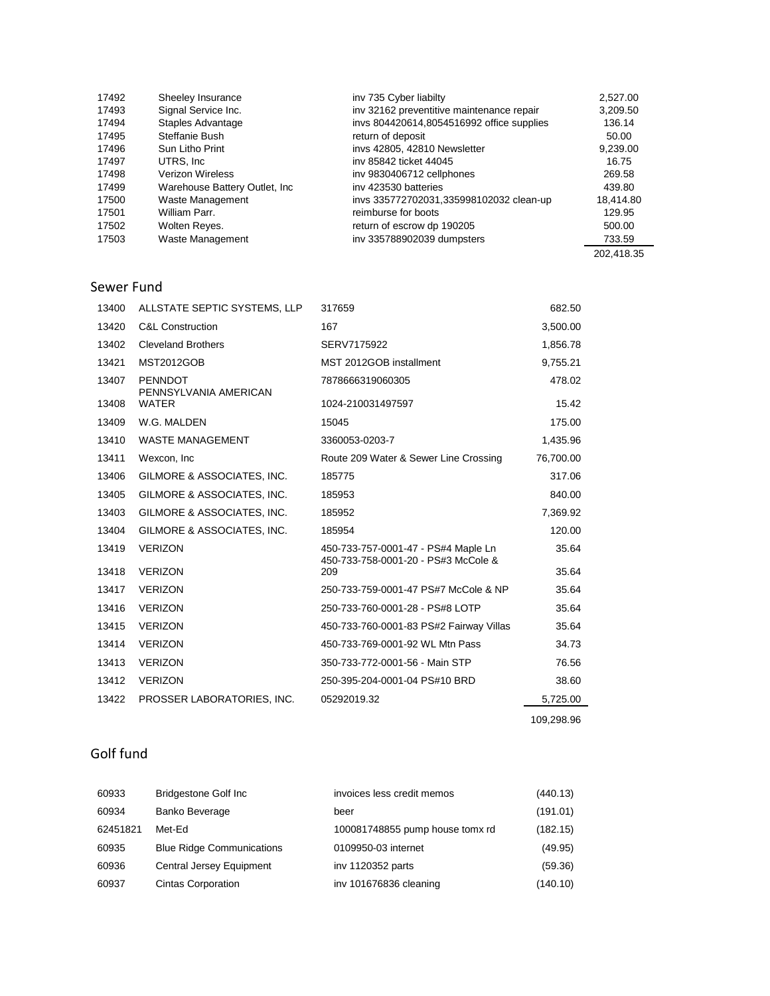| 17492 | Sheeley Insurance              | inv 735 Cyber liabilty                    | 2.527.00   |
|-------|--------------------------------|-------------------------------------------|------------|
| 17493 | Signal Service Inc.            | inv 32162 preventitive maintenance repair | 3,209.50   |
| 17494 | Staples Advantage              | invs 804420614,8054516992 office supplies | 136.14     |
| 17495 | Steffanie Bush                 | return of deposit                         | 50.00      |
| 17496 | Sun Litho Print                | invs 42805, 42810 Newsletter              | 9.239.00   |
| 17497 | UTRS. Inc.                     | iny 85842 ticket 44045                    | 16.75      |
| 17498 | Verizon Wireless               | inv 9830406712 cellphones                 | 269.58     |
| 17499 | Warehouse Battery Outlet, Inc. | iny 423530 batteries                      | 439.80     |
| 17500 | Waste Management               | invs 335772702031,335998102032 clean-up   | 18,414.80  |
| 17501 | William Parr.                  | reimburse for boots                       | 129.95     |
| 17502 | Wolten Reyes.                  | return of escrow dp 190205                | 500.00     |
| 17503 | Waste Management               | inv 335788902039 dumpsters                | 733.59     |
|       |                                |                                           | 202,418.35 |

# Sewer Fund

| <b>C&amp;L Construction</b><br>13420<br>167<br><b>Cleveland Brothers</b><br>13402<br>SERV7175922<br>MST 2012GOB installment<br>13421<br><b>MST2012GOB</b><br>13407<br><b>PENNDOT</b><br>7878666319060305<br>PENNSYLVANIA AMERICAN<br><b>WATER</b><br>13408<br>1024-210031497597<br>W.G. MALDEN<br>15045<br>13409<br><b>WASTE MANAGEMENT</b><br>13410<br>3360053-0203-7<br>13411<br>Wexcon, Inc.<br>Route 209 Water & Sewer Line Crossing<br>GILMORE & ASSOCIATES, INC.<br>13406<br>185775 |            |
|-------------------------------------------------------------------------------------------------------------------------------------------------------------------------------------------------------------------------------------------------------------------------------------------------------------------------------------------------------------------------------------------------------------------------------------------------------------------------------------------|------------|
|                                                                                                                                                                                                                                                                                                                                                                                                                                                                                           | 3,500.00   |
|                                                                                                                                                                                                                                                                                                                                                                                                                                                                                           | 1,856.78   |
|                                                                                                                                                                                                                                                                                                                                                                                                                                                                                           | 9,755.21   |
|                                                                                                                                                                                                                                                                                                                                                                                                                                                                                           | 478.02     |
|                                                                                                                                                                                                                                                                                                                                                                                                                                                                                           | 15.42      |
|                                                                                                                                                                                                                                                                                                                                                                                                                                                                                           | 175.00     |
|                                                                                                                                                                                                                                                                                                                                                                                                                                                                                           | 1,435.96   |
|                                                                                                                                                                                                                                                                                                                                                                                                                                                                                           | 76,700.00  |
|                                                                                                                                                                                                                                                                                                                                                                                                                                                                                           | 317.06     |
| 13405<br>GILMORE & ASSOCIATES, INC.<br>185953                                                                                                                                                                                                                                                                                                                                                                                                                                             | 840.00     |
| 13403<br>GILMORE & ASSOCIATES, INC.<br>185952                                                                                                                                                                                                                                                                                                                                                                                                                                             | 7,369.92   |
| GILMORE & ASSOCIATES, INC.<br>13404<br>185954                                                                                                                                                                                                                                                                                                                                                                                                                                             | 120.00     |
| <b>VERIZON</b><br>13419<br>450-733-757-0001-47 - PS#4 Maple Ln<br>450-733-758-0001-20 - PS#3 McCole &                                                                                                                                                                                                                                                                                                                                                                                     | 35.64      |
| <b>VERIZON</b><br>209<br>13418                                                                                                                                                                                                                                                                                                                                                                                                                                                            | 35.64      |
| <b>VERIZON</b><br>250-733-759-0001-47 PS#7 McCole & NP<br>13417                                                                                                                                                                                                                                                                                                                                                                                                                           | 35.64      |
| 13416<br><b>VERIZON</b><br>250-733-760-0001-28 - PS#8 LOTP                                                                                                                                                                                                                                                                                                                                                                                                                                | 35.64      |
| <b>VERIZON</b><br>450-733-760-0001-83 PS#2 Fairway Villas<br>13415                                                                                                                                                                                                                                                                                                                                                                                                                        | 35.64      |
| <b>VERIZON</b><br>450-733-769-0001-92 WL Mtn Pass<br>13414                                                                                                                                                                                                                                                                                                                                                                                                                                | 34.73      |
| <b>VERIZON</b><br>350-733-772-0001-56 - Main STP<br>13413                                                                                                                                                                                                                                                                                                                                                                                                                                 | 76.56      |
| <b>VERIZON</b><br>13412<br>250-395-204-0001-04 PS#10 BRD                                                                                                                                                                                                                                                                                                                                                                                                                                  | 38.60      |
| 13422<br>PROSSER LABORATORIES, INC.<br>05292019.32                                                                                                                                                                                                                                                                                                                                                                                                                                        | 5,725.00   |
|                                                                                                                                                                                                                                                                                                                                                                                                                                                                                           | 109,298.96 |

# Golf fund

| 60933    | <b>Bridgestone Golf Inc.</b>     | invoices less credit memos      | (440.13) |
|----------|----------------------------------|---------------------------------|----------|
| 60934    | Banko Beverage                   | beer                            | (191.01) |
| 62451821 | Met-Ed                           | 100081748855 pump house tomx rd | (182.15) |
| 60935    | <b>Blue Ridge Communications</b> | 0109950-03 internet             | (49.95)  |
| 60936    | Central Jersey Equipment         | inv 1120352 parts               | (59.36)  |
| 60937    | <b>Cintas Corporation</b>        | inv 101676836 cleaning          | (140.10) |